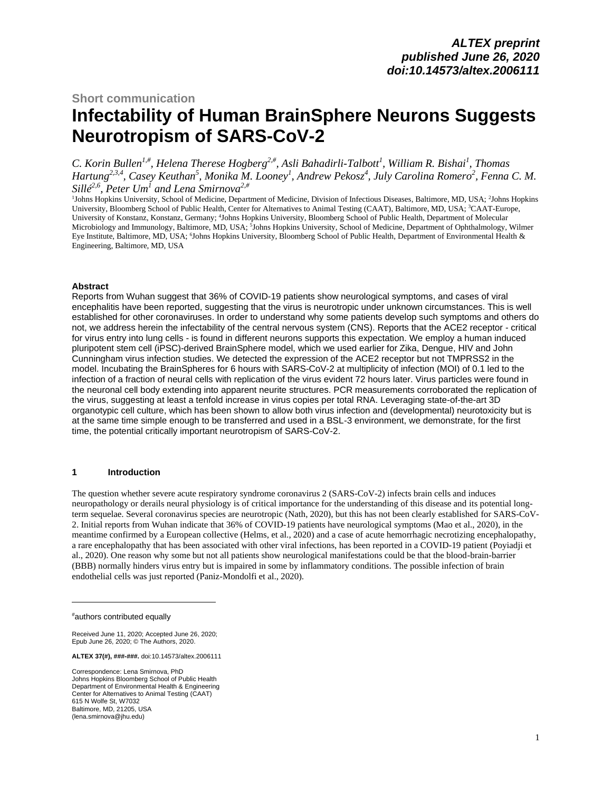# **Short communication Infectability of Human BrainSphere Neurons Suggests Neurotropism of SARS-CoV-2 \***

*C. Korin Bullen1,# , Helena Therese Hogberg2,# , Asli Bahadirli-Talbott<sup>1</sup> , William R. Bishai<sup>1</sup> , Thomas Hartung2,3,4 , Casey Keuthan<sup>5</sup> , Monika M. Looney<sup>1</sup> , Andrew Pekosz<sup>4</sup> , July Carolina Romero<sup>2</sup> , Fenna C. M. Sillé 2,6 , Peter Um<sup>1</sup> and Lena Smirnova2,#*

<sup>1</sup>Johns Hopkins University, School of Medicine, Department of Medicine, Division of Infectious Diseases, Baltimore, MD, USA; <sup>2</sup>Johns Hopkins University, Bloomberg School of Public Health, Center for Alternatives to Animal Testing (CAAT), Baltimore, MD, USA; <sup>3</sup>CAAT-Europe, University of Konstanz, Konstanz, Germany; <sup>4</sup>Johns Hopkins University, Bloomberg School of Public Health, Department of Molecular Microbiology and Immunology, Baltimore, MD, USA; 5Johns Hopkins University, School of Medicine, Department of Ophthalmology, Wilmer Eye Institute, Baltimore, MD, USA; <sup>6</sup>Johns Hopkins University, Bloomberg School of Public Health, Department of Environmental Health & Engineering, Baltimore, MD, USA

### **Abstract**

Reports from Wuhan suggest that 36% of COVID-19 patients show neurological symptoms, and cases of viral encephalitis have been reported, suggesting that the virus is neurotropic under unknown circumstances. This is well established for other coronaviruses. In order to understand why some patients develop such symptoms and others do not, we address herein the infectability of the central nervous system (CNS). Reports that the ACE2 receptor - critical for virus entry into lung cells - is found in different neurons supports this expectation. We employ a human induced pluripotent stem cell (iPSC)-derived BrainSphere model, which we used earlier for Zika, Dengue, HIV and John Cunningham virus infection studies. We detected the expression of the ACE2 receptor but not TMPRSS2 in the model. Incubating the BrainSpheres for 6 hours with SARS-CoV-2 at multiplicity of infection (MOI) of 0.1 led to the infection of a fraction of neural cells with replication of the virus evident 72 hours later. Virus particles were found in the neuronal cell body extending into apparent neurite structures. PCR measurements corroborated the replication of the virus, suggesting at least a tenfold increase in virus copies per total RNA. Leveraging state-of-the-art 3D organotypic cell culture, which has been shown to allow both virus infection and (developmental) neurotoxicity but is at the same time simple enough to be transferred and used in a BSL-3 environment, we demonstrate, for the first time, the potential critically important neurotropism of SARS-CoV-2.

#### **1 Introduction**

The question whether severe acute respiratory syndrome coronavirus 2 (SARS-CoV-2) infects brain cells and induces neuropathology or derails neural physiology is of critical importance for the understanding of this disease and its potential longterm sequelae. Several coronavirus species are neurotropic (Nath, 2020), but this has not been clearly established for SARS-CoV-2. Initial reports from Wuhan indicate that 36% of COVID-19 patients have neurological symptoms (Mao et al., 2020), in the meantime confirmed by a European collective (Helms, et al., 2020) and a case of acute hemorrhagic necrotizing encephalopathy, a rare encephalopathy that has been associated with other viral infections, has been reported in a COVID-19 patient (Poyiadji et al., 2020). One reason why some but not all patients show neurological manifestations could be that the blood-brain-barrier (BBB) normally hinders virus entry but is impaired in some by inflammatory conditions. The possible infection of brain endothelial cells was just reported (Paniz-Mondolfi et al., 2020).

Correspondence: Lena Smirnova, PhD Johns Hopkins Bloomberg School of Public Health Department of Environmental Health & Engineering Center for Alternatives to Animal Testing (CAAT) 615 N Wolfe St, W7032 Baltimore, MD, 21205, USA [\(lena.smirnova@jhu.edu\)](mailto:lena.smirnova@jhu.edu) 

<sup>#</sup>authors contributed equally

Received June 11, 2020; Accepted June 26, 2020; Epub June 26, 2020; © The Authors, 2020.

**ALTEX 37(#), ###-###.** [doi:10.14573/altex.2006111](https://doi.org/10.14573/altex.2006111)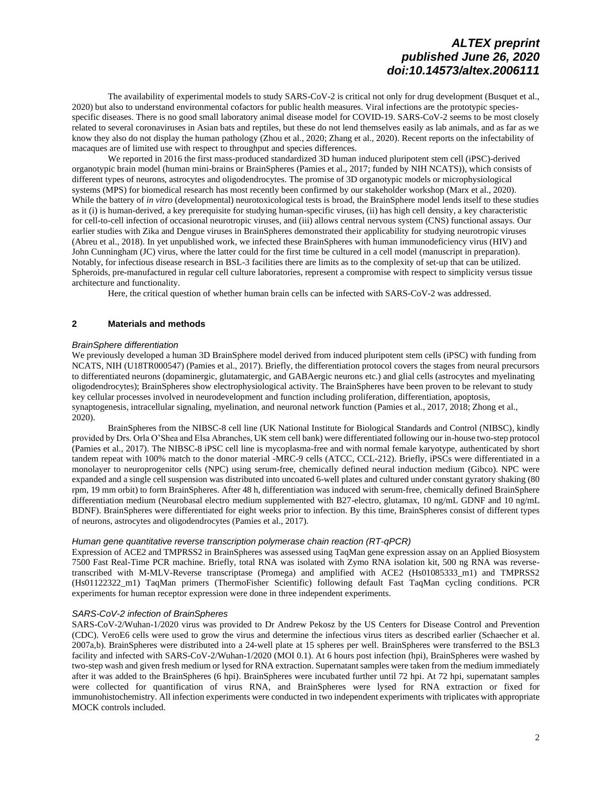The availability of experimental models to study SARS-CoV-2 is critical not only for drug development (Busquet et al., 2020) but also to understand environmental cofactors for public health measures. Viral infections are the prototypic speciesspecific diseases. There is no good small laboratory animal disease model for COVID-19. SARS-CoV-2 seems to be most closely related to several coronaviruses in Asian bats and reptiles, but these do not lend themselves easily as lab animals, and as far as we know they also do not display the human pathology (Zhou et al., 2020; Zhang et al., 2020). Recent reports on the infectability of macaques are of limited use with respect to throughput and species differences.

We reported in 2016 the first mass-produced standardized 3D human induced pluripotent stem cell (iPSC)-derived organotypic brain model (human mini-brains or BrainSpheres (Pamies et al., 2017; funded by NIH NCATS)), which consists of different types of neurons, astrocytes and oligodendrocytes. The promise of 3D organotypic models or microphysiological systems (MPS) for biomedical research has most recently been confirmed by our stakeholder workshop (Marx et al., 2020). While the battery of *in vitro* (developmental) neurotoxicological tests is broad, the BrainSphere model lends itself to these studies as it (i) is human-derived, a key prerequisite for studying human-specific viruses, (ii) has high cell density, a key characteristic for cell-to-cell infection of occasional neurotropic viruses, and (iii) allows central nervous system (CNS) functional assays. Our earlier studies with Zika and Dengue viruses in BrainSpheres demonstrated their applicability for studying neurotropic viruses (Abreu et al., 2018). In yet unpublished work, we infected these BrainSpheres with human immunodeficiency virus (HIV) and John Cunningham (JC) virus, where the latter could for the first time be cultured in a cell model (manuscript in preparation). Notably, for infectious disease research in BSL-3 facilities there are limits as to the complexity of set-up that can be utilized. Spheroids, pre-manufactured in regular cell culture laboratories, represent a compromise with respect to simplicity versus tissue architecture and functionality.

Here, the critical question of whether human brain cells can be infected with SARS-CoV-2 was addressed.

### **2 Materials and methods**

### *BrainSphere differentiation*

We previously developed a human 3D BrainSphere model derived from induced pluripotent stem cells (iPSC) with funding from NCATS, NIH (U18TR000547) (Pamies et al., 2017). Briefly, the differentiation protocol covers the stages from neural precursors to differentiated neurons (dopaminergic, glutamatergic, and GABAergic neurons etc.) and glial cells (astrocytes and myelinating oligodendrocytes); BrainSpheres show electrophysiological activity. The BrainSpheres have been proven to be relevant to study key cellular processes involved in neurodevelopment and function including proliferation, differentiation, apoptosis, synaptogenesis, intracellular signaling, myelination, and neuronal network function (Pamies et al., 2017, 2018; Zhong et al., 2020).

BrainSpheres from the NIBSC-8 cell line (UK National Institute for Biological Standards and Control (NIBSC), kindly provided by Drs. Orla O'Shea and Elsa Abranches, UK stem cell bank) were differentiated following our in-house two-step protocol (Pamies et al., 2017). The NIBSC-8 iPSC cell line is mycoplasma-free and with normal female karyotype, authenticated by short tandem repeat with 100% match to the donor material -MRC-9 cells (ATCC, CCL-212). Briefly, iPSCs were differentiated in a monolayer to neuroprogenitor cells (NPC) using serum-free, chemically defined neural induction medium (Gibco). NPC were expanded and a single cell suspension was distributed into uncoated 6-well plates and cultured under constant gyratory shaking (80 rpm, 19 mm orbit) to form BrainSpheres. After 48 h, differentiation was induced with serum-free, chemically defined BrainSphere differentiation medium (Neurobasal electro medium supplemented with B27-electro, glutamax, 10 ng/mL GDNF and 10 ng/mL BDNF). BrainSpheres were differentiated for eight weeks prior to infection. By this time, BrainSpheres consist of different types of neurons, astrocytes and oligodendrocytes (Pamies et al., 2017).

### *Human gene quantitative reverse transcription polymerase chain reaction (RT-qPCR)*

Expression of ACE2 and TMPRSS2 in BrainSpheres was assessed using TaqMan gene expression assay on an Applied Biosystem 7500 Fast Real-Time PCR machine. Briefly, total RNA was isolated with Zymo RNA isolation kit, 500 ng RNA was reversetranscribed with M-MLV-Reverse transcriptase (Promega) and amplified with ACE2 (Hs01085333\_m1) and TMPRSS2 (Hs01122322\_m1) TaqMan primers (ThermoFisher Scientific) following default Fast TaqMan cycling conditions. PCR experiments for human receptor expression were done in three independent experiments.

### *SARS-CoV-2 infection of BrainSpheres*

SARS-CoV-2/Wuhan-1/2020 virus was provided to Dr Andrew Pekosz by the US Centers for Disease Control and Prevention (CDC). VeroE6 cells were used to grow the virus and determine the infectious virus titers as described earlier (Schaecher et al. 2007a,b). BrainSpheres were distributed into a 24-well plate at 15 spheres per well. BrainSpheres were transferred to the BSL3 facility and infected with SARS-CoV-2/Wuhan-1/2020 (MOI 0.1). At 6 hours post infection (hpi), BrainSpheres were washed by two-step wash and given fresh medium or lysed for RNA extraction. Supernatant samples were taken from the medium immediately after it was added to the BrainSpheres (6 hpi). BrainSpheres were incubated further until 72 hpi. At 72 hpi, supernatant samples were collected for quantification of virus RNA, and BrainSpheres were lysed for RNA extraction or fixed for immunohistochemistry. All infection experiments were conducted in two independent experiments with triplicates with appropriate MOCK controls included.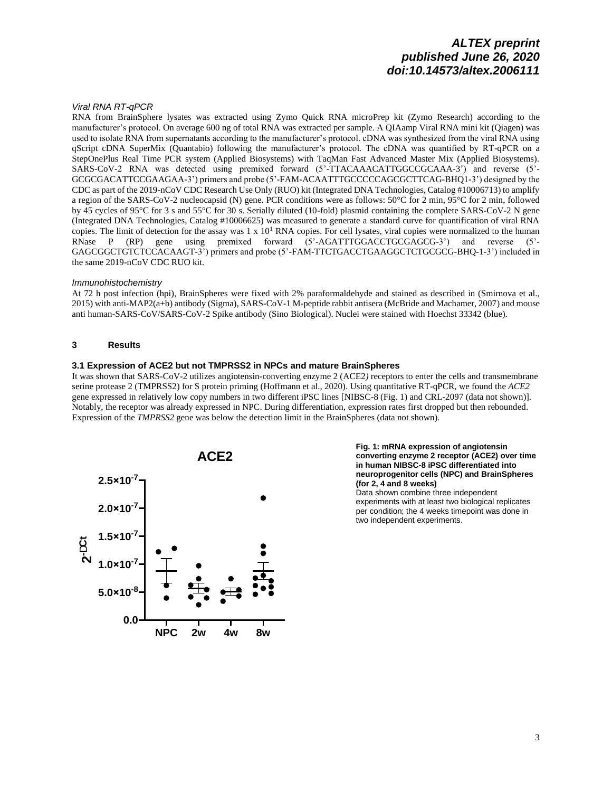### *Viral RNA RT-qPCR*

RNA from BrainSphere lysates was extracted using Zymo Quick RNA microPrep kit (Zymo Research) according to the manufacturer's protocol. On average 600 ng of total RNA was extracted per sample. A QIAamp Viral RNA mini kit (Qiagen) was used to isolate RNA from supernatants according to the manufacturer's protocol. cDNA was synthesized from the viral RNA using qScript cDNA SuperMix (Quantabio) following the manufacturer's protocol. The cDNA was quantified by RT-qPCR on a StepOnePlus Real Time PCR system (Applied Biosystems) with TaqMan Fast Advanced Master Mix (Applied Biosystems). SARS-CoV-2 RNA was detected using premixed forward (5'-TTACAAACATTGGCCGCAAA-3') and reverse (5'- GCGCGACATTCCGAAGAA-3') primers and probe (5'-FAM-ACAATTTGCCCCCAGCGCTTCAG-BHQ1-3') designed by the CDC as part of the 2019-nCoV CDC Research Use Only (RUO) kit (Integrated DNA Technologies, Catalog #10006713) to amplify a region of the SARS-CoV-2 nucleocapsid (N) gene. PCR conditions were as follows: 50°C for 2 min, 95°C for 2 min, followed by 45 cycles of 95°C for 3 s and 55°C for 30 s. Serially diluted (10-fold) plasmid containing the complete SARS-CoV-2 N gene (Integrated DNA Technologies, Catalog #10006625) was measured to generate a standard curve for quantification of viral RNA copies. The limit of detection for the assay was  $1 \times 10^1$  RNA copies. For cell lysates, viral copies were normalized to the human RNase P (RP) gene using premixed forward (5'-AGATTTGGACCTGCGAGCG-3') and reverse (5'- GAGCGGCTGTCTCCACAAGT-3') primers and probe (5'-FAM-TTCTGACCTGAAGGCTCTGCGCG-BHQ-1-3') included in the same 2019-nCoV CDC RUO kit.

### *Immunohistochemistry*

At 72 h post infection (hpi), BrainSpheres were fixed with 2% paraformaldehyde and stained as described in (Smirnova et al., 2015) with anti-MAP2(a+b) antibody (Sigma), SARS-CoV-1 M-peptide rabbit antisera (McBride and Machamer, 2007) and mouse anti human-SARS-CoV/SARS-CoV-2 Spike antibody (Sino Biological). Nuclei were stained with Hoechst 33342 (blue).

### **3 Results**

### **3.1 Expression of ACE2 but not TMPRSS2 in NPCs and mature BrainSpheres**

It was shown that SARS-CoV-2 utilizes angiotensin-converting enzyme 2 (ACE2*)* receptors to enter the cells and transmembrane serine protease 2 (TMPRSS2) for S protein priming (Hoffmann et al., 2020). Using quantitative RT-qPCR, we found the *ACE2* gene expressed in relatively low copy numbers in two different iPSC lines [NIBSC-8 (Fig. 1) and CRL-2097 (data not shown)]. Notably, the receptor was already expressed in NPC. During differentiation, expression rates first dropped but then rebounded. Expression of the *TMPRSS2* gene was below the detection limit in the BrainSpheres (data not shown).



**Fig. 1: mRNA expression of angiotensin converting enzyme 2 receptor (ACE2) over time in human NIBSC-8 iPSC differentiated into neuroprogenitor cells (NPC) and BrainSpheres (for 2, 4 and 8 weeks)**

Data shown combine three independent experiments with at least two biological replicates per condition; the 4 weeks timepoint was done in two independent experiments.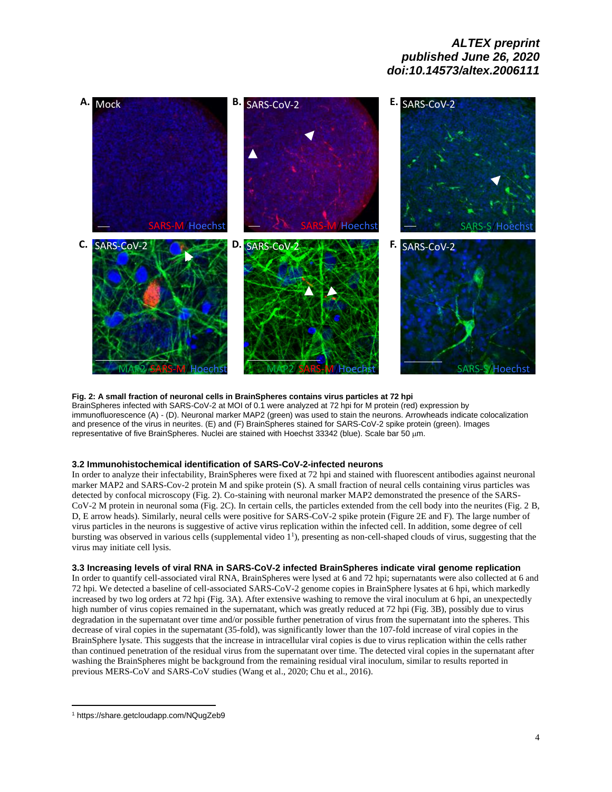

### **Fig. 2: A small fraction of neuronal cells in BrainSpheres contains virus particles at 72 hpi**

BrainSpheres infected with SARS-CoV-2 at MOI of 0.1 were analyzed at 72 hpi for M protein (red) expression by immunofluorescence (A) - (D). Neuronal marker MAP2 (green) was used to stain the neurons. Arrowheads indicate colocalization and presence of the virus in neurites. (E) and (F) BrainSpheres stained for SARS-CoV-2 spike protein (green). Images representative of five BrainSpheres. Nuclei are stained with Hoechst 33342 (blue). Scale bar 50 μm.

### **3.2 Immunohistochemical identification of SARS-CoV-2-infected neurons**

In order to analyze their infectability, BrainSpheres were fixed at 72 hpi and stained with fluorescent antibodies against neuronal marker MAP2 and SARS-Cov-2 protein M and spike protein (S). A small fraction of neural cells containing virus particles was detected by confocal microscopy (Fig. 2). Co-staining with neuronal marker MAP2 demonstrated the presence of the SARS-CoV-2 M protein in neuronal soma (Fig. 2C). In certain cells, the particles extended from the cell body into the neurites (Fig. 2 B, D, E arrow heads). Similarly, neural cells were positive for SARS-CoV-2 spike protein (Figure 2E and F). The large number of virus particles in the neurons is suggestive of active virus replication within the infected cell. In addition, some degree of cell bursting was observed in various cells (supplemental video 1<sup>1</sup>), presenting as non-cell-shaped clouds of virus, suggesting that the virus may initiate cell lysis.

### <span id="page-3-0"></span>**3.3 Increasing levels of viral RNA in SARS-CoV-2 infected BrainSpheres indicate viral genome replication**

In order to quantify cell-associated viral RNA, BrainSpheres were lysed at 6 and 72 hpi; supernatants were also collected at 6 and 72 hpi. We detected a baseline of cell-associated SARS-CoV-2 genome copies in BrainSphere lysates at 6 hpi, which markedly increased by two log orders at 72 hpi (Fig. 3A). After extensive washing to remove the viral inoculum at 6 hpi, an unexpectedly high number of virus copies remained in the supernatant, which was greatly reduced at 72 hpi (Fig. 3B), possibly due to virus degradation in the supernatant over time and/or possible further penetration of virus from the supernatant into the spheres. This decrease of viral copies in the supernatant (35-fold), was significantly lower than the 107-fold increase of viral copies in the BrainSphere lysate. This suggests that the increase in intracellular viral copies is due to virus replication within the cells rather than continued penetration of the residual virus from the supernatant over time. The detected viral copies in the supernatant after washing the BrainSpheres might be background from the remaining residual viral inoculum, similar to results reported in previous MERS-CoV and SARS-CoV studies (Wang et al., 2020; Chu et al., 2016).

<sup>1</sup> <https://share.getcloudapp.com/NQugZeb9>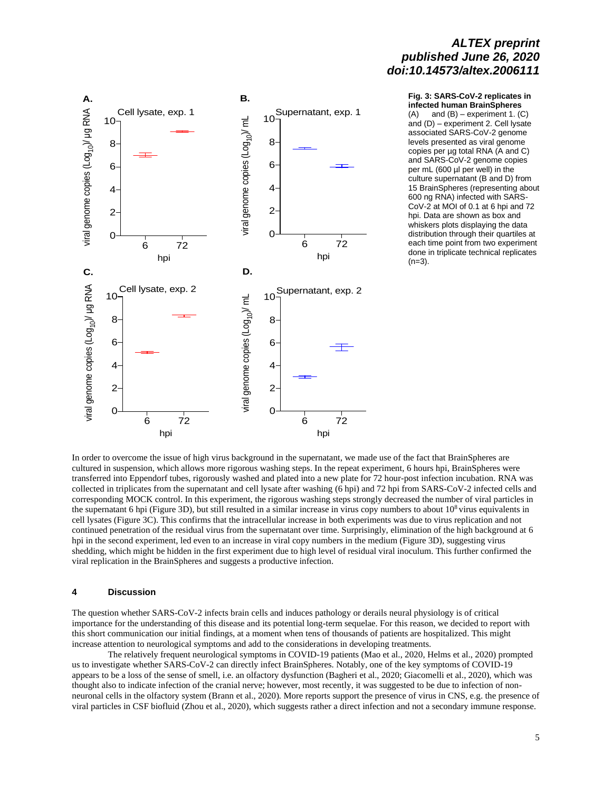

#### **Fig. 3: SARS-CoV-2 replicates in infected human BrainSpheres**

 $(A)$  and  $(B)$  – experiment 1.  $(C)$ and (D) – experiment 2. Cell lysate associated SARS-CoV-2 genome levels presented as viral genome copies per µg total RNA (A and C) and SARS-CoV-2 genome copies per mL (600 µl per well) in the culture supernatant (B and D) from 15 BrainSpheres (representing about 600 ng RNA) infected with SARS-CoV-2 at MOI of 0.1 at 6 hpi and 72 hpi. Data are shown as box and whiskers plots displaying the data distribution through their quartiles at each time point from two experiment done in triplicate technical replicates  $(n=3)$ .

In order to overcome the issue of high virus background in the supernatant, we made use of the fact that BrainSpheres are cultured in suspension, which allows more rigorous washing steps. In the repeat experiment, 6 hours hpi, BrainSpheres were transferred into Eppendorf tubes, rigorously washed and plated into a new plate for 72 hour-post infection incubation. RNA was collected in triplicates from the supernatant and cell lysate after washing (6 hpi) and 72 hpi from SARS-CoV-2 infected cells and corresponding MOCK control. In this experiment, the rigorous washing steps strongly decreased the number of viral particles in the supernatant 6 hpi (Figure 3D), but still resulted in a similar increase in virus copy numbers to about  $10^8$  virus equivalents in cell lysates (Figure 3C). This confirms that the intracellular increase in both experiments was due to virus replication and not continued penetration of the residual virus from the supernatant over time. Surprisingly, elimination of the high background at 6 hpi in the second experiment, led even to an increase in viral copy numbers in the medium (Figure 3D), suggesting virus shedding, which might be hidden in the first experiment due to high level of residual viral inoculum. This further confirmed the viral replication in the BrainSpheres and suggests a productive infection.

#### **4 Discussion**

The question whether SARS-CoV-2 infects brain cells and induces pathology or derails neural physiology is of critical importance for the understanding of this disease and its potential long-term sequelae. For this reason, we decided to report with this short communication our initial findings, at a moment when tens of thousands of patients are hospitalized. This might increase attention to neurological symptoms and add to the considerations in developing treatments.

The relatively frequent neurological symptoms in COVID-19 patients (Mao et al., 2020, Helms et al., 2020) prompted us to investigate whether SARS-CoV-2 can directly infect BrainSpheres. Notably, one of the key symptoms of COVID-19 appears to be a loss of the sense of smell, i.e. an olfactory dysfunction (Bagheri et al., 2020; Giacomelli et al., 2020), which was thought also to indicate infection of the cranial nerve; however, most recently, it was suggested to be due to infection of nonneuronal cells in the olfactory system (Brann et al., 2020). More reports support the presence of virus in CNS, e.g. the presence of viral particles in CSF biofluid (Zhou et al., 2020), which suggests rather a direct infection and not a secondary immune response.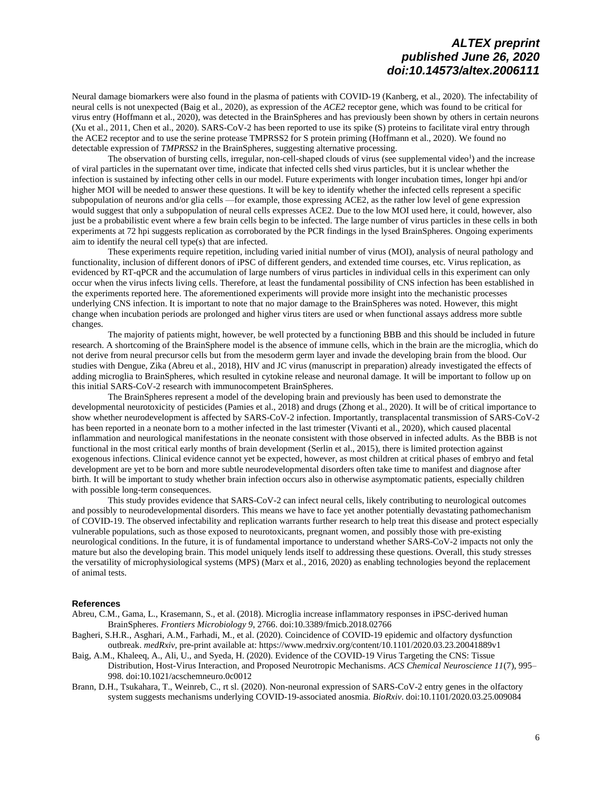Neural damage biomarkers were also found in the plasma of patients with COVID-19 (Kanberg, et al., 2020). The infectability of neural cells is not unexpected (Baig et al., 2020), as expression of the *ACE2* receptor gene, which was found to be critical for virus entry (Hoffmann et al., 2020), was detected in the BrainSpheres and has previously been shown by others in certain neurons (Xu et al., 2011, Chen et al., 2020). SARS-CoV-2 has been reported to use its spike (S) proteins to facilitate viral entry through the ACE2 receptor and to use the serine protease TMPRSS2 for S protein priming (Hoffmann et al., 2020). We found no detectable expression of *TMPRSS2* in the BrainSpheres, suggesting alternative processing.

The [o](#page-3-0)bservation of bursting cells, irregular, non-cell-shaped clouds of virus (see supplemental video<sup>1</sup>) and the increase of viral particles in the supernatant over time, indicate that infected cells shed virus particles, but it is unclear whether the infection is sustained by infecting other cells in our model. Future experiments with longer incubation times, longer hpi and/or higher MOI will be needed to answer these questions. It will be key to identify whether the infected cells represent a specific subpopulation of neurons and/or glia cells —for example, those expressing ACE2, as the rather low level of gene expression would suggest that only a subpopulation of neural cells expresses ACE2. Due to the low MOI used here, it could, however, also just be a probabilistic event where a few brain cells begin to be infected. The large number of virus particles in these cells in both experiments at 72 hpi suggests replication as corroborated by the PCR findings in the lysed BrainSpheres. Ongoing experiments aim to identify the neural cell type(s) that are infected.

These experiments require repetition, including varied initial number of virus (MOI), analysis of neural pathology and functionality, inclusion of different donors of iPSC of different genders, and extended time courses, etc. Virus replication, as evidenced by RT-qPCR and the accumulation of large numbers of virus particles in individual cells in this experiment can only occur when the virus infects living cells. Therefore, at least the fundamental possibility of CNS infection has been established in the experiments reported here. The aforementioned experiments will provide more insight into the mechanistic processes underlying CNS infection. It is important to note that no major damage to the BrainSpheres was noted. However, this might change when incubation periods are prolonged and higher virus titers are used or when functional assays address more subtle changes.

The majority of patients might, however, be well protected by a functioning BBB and this should be included in future research. A shortcoming of the BrainSphere model is the absence of immune cells, which in the brain are the microglia, which do not derive from neural precursor cells but from the mesoderm germ layer and invade the developing brain from the blood. Our studies with Dengue, Zika (Abreu et al., 2018), HIV and JC virus (manuscript in preparation) already investigated the effects of adding microglia to BrainSpheres, which resulted in cytokine release and neuronal damage. It will be important to follow up on this initial SARS-CoV-2 research with immunocompetent BrainSpheres.

The BrainSpheres represent a model of the developing brain and previously has been used to demonstrate the developmental neurotoxicity of pesticides (Pamies et al., 2018) and drugs (Zhong et al., 2020). It will be of critical importance to show whether neurodevelopment is affected by SARS-CoV-2 infection. Importantly, transplacental transmission of SARS-CoV-2 has been reported in a neonate born to a mother infected in the last trimester (Vivanti et al., 2020), which caused placental inflammation and neurological manifestations in the neonate consistent with those observed in infected adults. As the BBB is not functional in the most critical early months of brain development (Serlin et al., 2015), there is limited protection against exogenous infections. Clinical evidence cannot yet be expected, however, as most children at critical phases of embryo and fetal development are yet to be born and more subtle neurodevelopmental disorders often take time to manifest and diagnose after birth. It will be important to study whether brain infection occurs also in otherwise asymptomatic patients, especially children with possible long-term consequences.

This study provides evidence that SARS-CoV-2 can infect neural cells, likely contributing to neurological outcomes and possibly to neurodevelopmental disorders. This means we have to face yet another potentially devastating pathomechanism of COVID-19. The observed infectability and replication warrants further research to help treat this disease and protect especially vulnerable populations, such as those exposed to neurotoxicants, pregnant women, and possibly those with pre-existing neurological conditions. In the future, it is of fundamental importance to understand whether SARS-CoV-2 impacts not only the mature but also the developing brain. This model uniquely lends itself to addressing these questions. Overall, this study stresses the versatility of microphysiological systems (MPS) (Marx et al., 2016, 2020) as enabling technologies beyond the replacement of animal tests.

#### **References**

Abreu, C.M., Gama, L., Krasemann, S., et al. (2018). Microglia increase inflammatory responses in iPSC-derived human BrainSpheres. *Frontiers Microbiology 9*, 2766. [doi:10.3389/fmicb.2018.02766](https://doi.org/10.3389/fmicb.2018.02766)

- Bagheri, S.H.R., Asghari, A.M., Farhadi, M., et al. (2020). Coincidence of COVID-19 epidemic and olfactory dysfunction outbreak. *medRxiv*, pre-print available at[: https://www.medrxiv.org/content/10.1101/2020.03.23.20041889v1](https://www.medrxiv.org/content/10.1101/2020.03.23.20041889v1)
- Baig, A.M., Khaleeq, A., Ali, U., and Syeda, H. (2020). Evidence of the COVID-19 Virus Targeting the CNS: Tissue Distribution, Host-Virus Interaction, and Proposed Neurotropic Mechanisms. *ACS Chemical Neuroscience 11*(7), 995– 998. [doi:10.1021/acschemneuro.0c0012](https://doi.org/10.1021/acschemneuro.0c0012)
- Brann, D.H., Tsukahara, T., Weinreb, C., rt sl. (2020). Non-neuronal expression of SARS-CoV-2 entry genes in the olfactory system suggests mechanisms underlying COVID-19-associated anosmia. *BioRxiv*[. doi:10.1101/2020.03.25.009084](https://doi.org/10.1101/2020.03.25.009084)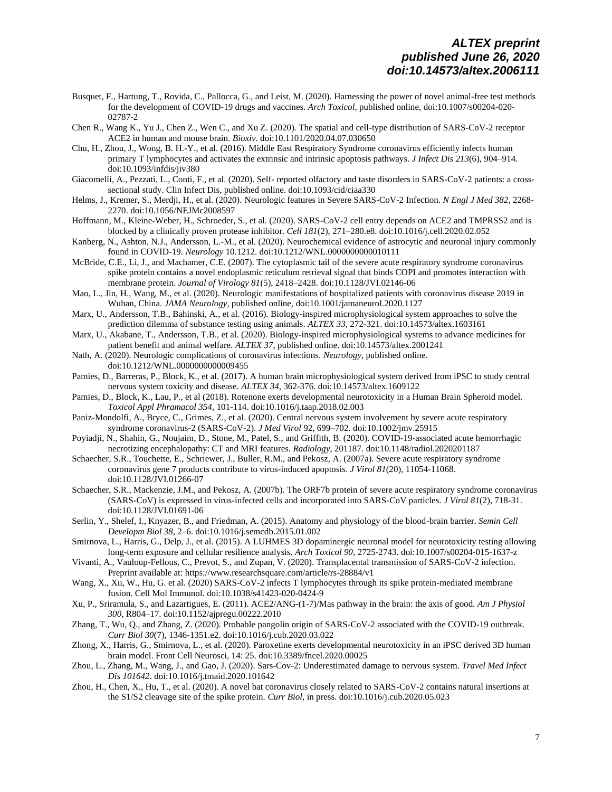- Busquet, F., Hartung, T., Rovida, C., Pallocca, G., and Leist, M. (2020). Harnessing the power of novel animal-free test methods for the development of COVID-19 drugs and vaccines. *Arch Toxicol*, published online[, doi:10.1007/s00204-020-](https://doi.org/10.1007/s00204-020-02787-2) [02787-2](https://doi.org/10.1007/s00204-020-02787-2)
- Chen R., Wang K., Yu J., Chen Z., Wen C., and Xu Z. (2020). The spatial and cell-type distribution of SARS-CoV-2 receptor ACE2 in human and mouse brain*. Bioxiv*[. doi:10.1101/2020.04.07.030650](https://doi.org/10.1101/2020.04.07.030650)
- Chu, H., Zhou, J., Wong, B. H.-Y., et al. (2016). Middle East Respiratory Syndrome coronavirus efficiently infects human primary T lymphocytes and activates the extrinsic and intrinsic apoptosis pathways. *J Infect Dis 213*(6), 904–914. [doi:10.1093/infdis/jiv380](https://doi.org/10.1093/infdis/jiv380)
- Giacomelli, A., Pezzati, L., Conti, F., et al. (2020). Self- reported olfactory and taste disorders in SARS-CoV-2 patients: a crosssectional study. Clin Infect Dis, published online[. doi:10.1093/cid/ciaa330](https://doi.org/10.1093/cid/ciaa330)
- Helms, J., Kremer, S., Merdji, H., et al. (2020). Neurologic features in Severe SARS-CoV-2 Infection. *N Engl J Med 382*, 2268- 2270[. doi:10.1056/NEJMc2008597](https://doi.org/10.1056/NEJMc2008597)
- Hoffmann, M., Kleine-Weber, H., Schroeder, S., et al. (2020). SARS-CoV-2 cell entry depends on ACE2 and TMPRSS2 and is blocked by a clinically proven protease inhibitor. *Cell 181*(2), 271–280.e8. [doi:10.1016/j.cell.2020.02.052](https://doi.org/10.1016/j.cell.2020.02.052)
- Kanberg, N., Ashton, N.J., Andersson, L.-M., et al. (2020). Neurochemical evidence of astrocytic and neuronal injury commonly found in COVID-19. *Neurology* 10.1212[. doi:10.1212/WNL.0000000000010111](https://doi.org/10.1212/WNL.0000000000010111)
- McBride, C.E., Li, J., and Machamer, C.E. (2007). The cytoplasmic tail of the severe acute respiratory syndrome coronavirus spike protein contains a novel endoplasmic reticulum retrieval signal that binds COPI and promotes interaction with membrane protein. *Journal of Virology 81*(5), 2418–2428[. doi:10.1128/JVI.02146-06](https://doi.org/10.1128/JVI.02146-06)
- Mao, L., Jin, H., Wang, M., et al. (2020). Neurologic manifestations of hospitalized patients with coronavirus disease 2019 in Wuhan, China. *JAMA Neurology*, published online, [doi:10.1001/jamaneurol.2020.1127](https://doi.org/10.1001/jamaneurol.2020.1127)
- Marx, U., Andersson, T.B., Bahinski, A., et al. (2016). Biology-inspired microphysiological system approaches to solve the prediction dilemma of substance testing using animals. *ALTEX 33*, 272-321[. doi:10.14573/altex.1603161](https://doi.org/10.14573/altex.1603161)
- Marx, U., Akabane, T., Andersson, T.B., et al. (2020). Biology-inspired microphysiological systems to advance medicines for patient benefit and animal welfare. *ALTEX 37*, published online. [doi:10.14573/altex.2001241](https://doi.org/10.14573/altex.2001241)
- Nath, A. (2020). Neurologic complications of coronavirus infections. *Neurology*, published online. [doi:10.1212/WNL.0000000000009455](https://doi.org/10.1212/WNL.0000000000009455)
- Pamies, D., Barreras, P., Block, K., et al. (2017). A human brain microphysiological system derived from iPSC to study central nervous system toxicity and disease. *ALTEX 34*, 362-376[. doi:10.14573/altex.1609122](https://doi.org/10.14573/altex.1609122)
- Pamies, D., Block, K., Lau, P., et al (2018). Rotenone exerts developmental neurotoxicity in a Human Brain Spheroid model. *Toxicol Appl Phramacol 354*, 101-114[. doi:10.1016/j.taap.2018.02.003](https://doi.org/10.1016/j.taap.2018.02.003)
- Paniz-Mondolfi, A., Bryce, C., Grimes, Z., et al. (2020). Central nervous system involvement by severe acute respiratory syndrome coronavirus-2 (SARS-CoV-2). *J Med Virol* 92, 699–702[. doi:10.1002/jmv.25915](https://doi.org/10.1002/jmv.25915)
- Poyiadji, N., Shahin, G., Noujaim, D., Stone, M., Patel, S., and Griffith, B. (2020). COVID-19-associated acute hemorrhagic necrotizing encephalopathy: CT and MRI features. *Radiology*, 201187. [doi:10.1148/radiol.2020201187](https://doi.org/10.1148/radiol.2020201187)
- Schaecher, S.R., Touchette, E., Schriewer, J., Buller, R.M., and Pekosz, A. (2007a). Severe acute respiratory syndrome coronavirus gene 7 products contribute to virus-induced apoptosis. *J Virol 81*(20), 11054-11068. [doi:10.1128/JVI.01266-07](https://doi.org/10.1128/JVI.01266-07)
- Schaecher, S.R., Mackenzie, J.M., and Pekosz, A. (2007b). The ORF7b protein of severe acute respiratory syndrome coronavirus (SARS-CoV) is expressed in virus-infected cells and incorporated into SARS-CoV particles. *J Virol 81*(2), 718-31. [doi:10.1128/JVI.01691-06](https://doi.org/10.1128/JVI.01691-06)
- Serlin, Y., Shelef, I., Knyazer, B., and Friedman, A. (2015). Anatomy and physiology of the blood-brain barrier. *Semin Cell Developm Biol 38*, 2–6[. doi:10.1016/j.semcdb.2015.01.002](https://doi.org/10.1016/j.semcdb.2015.01.002)
- Smirnova, L., Harris, G., Delp, J., et al. (2015). A LUHMES 3D dopaminergic neuronal model for neurotoxicity testing allowing long-term exposure and cellular resilience analysis. *Arch Toxicol 90*, 2725-2743[. doi:10.1007/s00204-015-1637-z](https://doi.org/10.1007/s00204-015-1637-z)
- Vivanti, A., Vauloup-Fellous, C., Prevot, S., and Zupan, V. (2020). Transplacental transmission of SARS-CoV-2 infection. Preprint available at[: https://www.researchsquare.com/article/rs-28884/v1](https://www.researchsquare.com/article/rs-28884/v1)
- Wang, X., Xu, W., Hu, G. et al. (2020) SARS-CoV-2 infects T lymphocytes through its spike protein-mediated membrane fusion. Cell Mol Immunol. [doi:10.1038/s41423-020-0424-9](https://doi.org/10.1038/s41423-020-0424-9)
- Xu, P., Sriramula, S., and Lazartigues, E. (2011). ACE2/ANG-(1-7)/Mas pathway in the brain: the axis of good. *Am J Physiol 300*, R804–17[. doi:10.1152/ajpregu.00222.2010](https://doi.org/10.1152/ajpregu.00222.2010)
- Zhang, T., Wu, Q., and Zhang, Z. (2020). Probable pangolin origin of SARS-CoV-2 associated with the COVID-19 outbreak. *Curr Biol 30*(7), 1346-1351.e2[. doi:10.1016/j.cub.2020.03.022](https://doi.org/10.1016/j.cub.2020.03.022)
- Zhong, X., Harris, G., Smirnova, L., et al. (2020). Paroxetine exerts developmental neurotoxicity in an iPSC derived 3D human brain model. Front Cell Neurosci, 14: 25. [doi:10.3389/fncel.2020.00025](https://doi.org/10.3389/fncel.2020.00025)
- Zhou, L., Zhang, M., Wang, J., and Gao, J. (2020). Sars-Cov-2: Underestimated damage to nervous system. *Travel Med Infect Dis 101642*[. doi:10.1016/j.tmaid.2020.101642](https://doi.org/10.1016/j.tmaid.2020.101642)
- Zhou, H., Chen, X., Hu, T., et al. (2020). A novel bat coronavirus closely related to SARS-CoV-2 contains natural insertions at the S1/S2 cleavage site of the spike protein. *Curr Biol,* in press[. doi:10.1016/j.cub.2020.05.023](https://doi.org/10.1016/j.cub.2020.05.023)